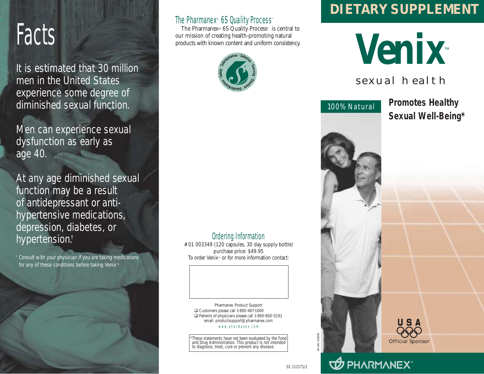# Facts

It is estimated that 30 million men in the United States experience some degree of diminished sexual function.

Men can experience sexual dysfunction as early as age 40.

At any age diminished sexual function may be a result of antidepressant or antihypertensive medications, depression, diabetes, or hypertension.†

† Consult with your physician if you are taking medications for any of these conditions before taking Venix<sup>™</sup>

#### The Pharmanex® 6S Quality Process™

The Pharmanex® 6S Quality Process™ is central to our mission of creating health-promoting natural products with known content and uniform consistency.



## **DIETARY SUPPLEMENT**

**Venix**™

### sexual health



**Promotes Healthy Sexual Well-Being\***



#### Ordering Information

#01 003349 (120 capsules, 30 day supply bottle) purchase price: \$49.95 To order Venix™ or for more information contact:

Pharmanex Product Support Customers please call 1-800-487-1000 □ Patients of physicians please call 1-800-800-0191 email: productsupport@pharmanex.com www.pharmanex.com

These statements have not been evaluated by the Food and Drug Administration. This product is not intended to diagnose, treat, cure or prevent any disease.

01 112171/2